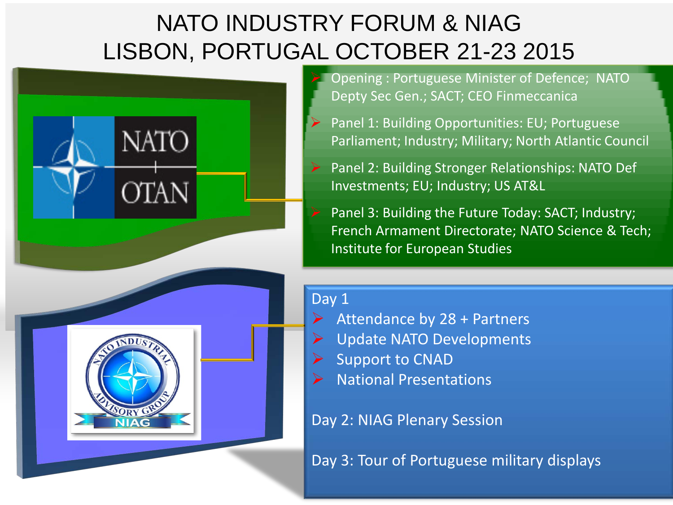# NATO INDUSTRY FORUM & NIAG LISBON, PORTUGAL OCTOBER 21-23 2015



 Opening : Portuguese Minister of Defence; NATO Depty Sec Gen.; SACT; CEO Finmeccanica

- Panel 1: Building Opportunities: EU; Portuguese Parliament; Industry; Military; North Atlantic Council
- Panel 2: Building Stronger Relationships: NATO Def Investments; EU; Industry; US AT&L
- Panel 3: Building the Future Today: SACT; Industry; French Armament Directorate; NATO Science & Tech; Institute for European Studies

#### Day 1

- Attendance by 28 + Partners
- Update NATO Developments
- $\triangleright$  Support to CNAD
- $\triangleright$  National Presentations

Day 2: NIAG Plenary Session

Day 3: Tour of Portuguese military displays